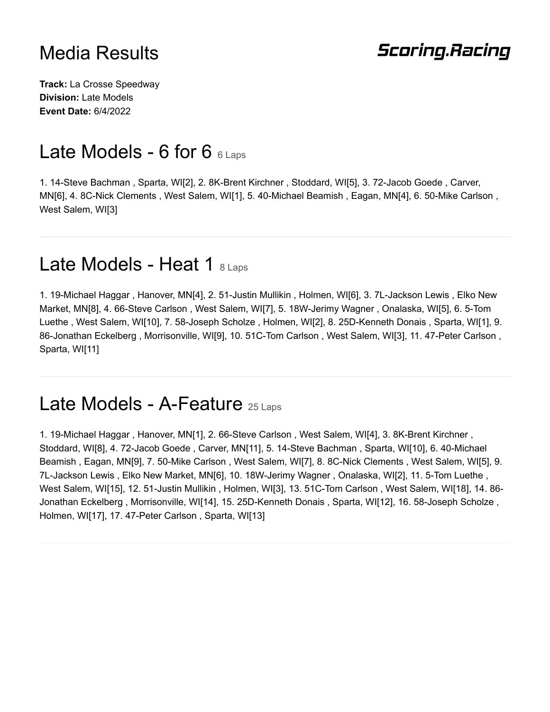#### **Scoring.Racing**

**Track:** La Crosse Speedway **Division:** Late Models **Event Date:** 6/4/2022

### Late Models - 6 for 6  $6$  Laps

1. 14-Steve Bachman , Sparta, WI[2], 2. 8K-Brent Kirchner , Stoddard, WI[5], 3. 72-Jacob Goede , Carver, MN[6], 4. 8C-Nick Clements , West Salem, WI[1], 5. 40-Michael Beamish , Eagan, MN[4], 6. 50-Mike Carlson , West Salem, WI[3]

#### Late Models - Heat 1 8 Laps

1. 19-Michael Haggar , Hanover, MN[4], 2. 51-Justin Mullikin , Holmen, WI[6], 3. 7L-Jackson Lewis , Elko New Market, MN[8], 4. 66-Steve Carlson , West Salem, WI[7], 5. 18W-Jerimy Wagner , Onalaska, WI[5], 6. 5-Tom Luethe , West Salem, WI[10], 7. 58-Joseph Scholze , Holmen, WI[2], 8. 25D-Kenneth Donais , Sparta, WI[1], 9. 86-Jonathan Eckelberg , Morrisonville, WI[9], 10. 51C-Tom Carlson , West Salem, WI[3], 11. 47-Peter Carlson , Sparta, WI[11]

### Late Models - A-Feature 25 Laps

1. 19-Michael Haggar , Hanover, MN[1], 2. 66-Steve Carlson , West Salem, WI[4], 3. 8K-Brent Kirchner , Stoddard, WI[8], 4. 72-Jacob Goede , Carver, MN[11], 5. 14-Steve Bachman , Sparta, WI[10], 6. 40-Michael Beamish , Eagan, MN[9], 7. 50-Mike Carlson , West Salem, WI[7], 8. 8C-Nick Clements , West Salem, WI[5], 9. 7L-Jackson Lewis , Elko New Market, MN[6], 10. 18W-Jerimy Wagner , Onalaska, WI[2], 11. 5-Tom Luethe , West Salem, WI[15], 12. 51-Justin Mullikin , Holmen, WI[3], 13. 51C-Tom Carlson , West Salem, WI[18], 14. 86- Jonathan Eckelberg , Morrisonville, WI[14], 15. 25D-Kenneth Donais , Sparta, WI[12], 16. 58-Joseph Scholze , Holmen, WI[17], 17. 47-Peter Carlson , Sparta, WI[13]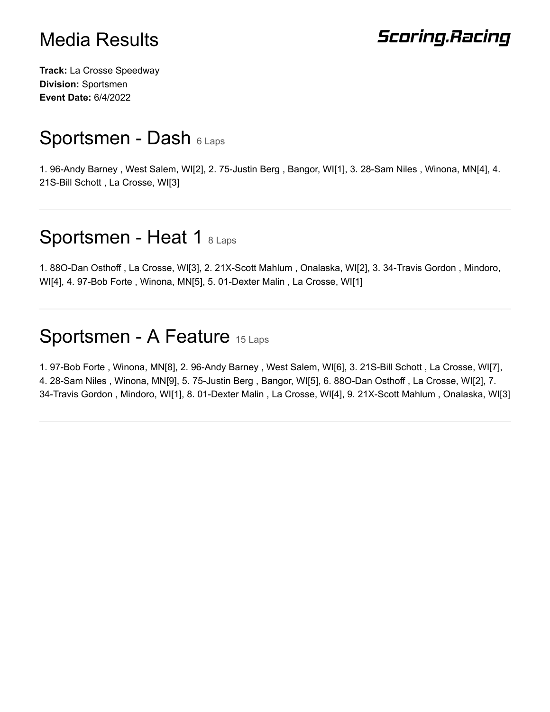# **Scoring.Racing**

**Track:** La Crosse Speedway **Division:** Sportsmen **Event Date:** 6/4/2022

### Sportsmen - Dash 6 Laps

1. 96-Andy Barney , West Salem, WI[2], 2. 75-Justin Berg , Bangor, WI[1], 3. 28-Sam Niles , Winona, MN[4], 4. 21S-Bill Schott , La Crosse, WI[3]

### Sportsmen - Heat 1 8 Laps

1. 88O-Dan Osthoff , La Crosse, WI[3], 2. 21X-Scott Mahlum , Onalaska, WI[2], 3. 34-Travis Gordon , Mindoro, WI[4], 4. 97-Bob Forte , Winona, MN[5], 5. 01-Dexter Malin , La Crosse, WI[1]

### Sportsmen - A Feature 15 Laps

1. 97-Bob Forte , Winona, MN[8], 2. 96-Andy Barney , West Salem, WI[6], 3. 21S-Bill Schott , La Crosse, WI[7], 4. 28-Sam Niles , Winona, MN[9], 5. 75-Justin Berg , Bangor, WI[5], 6. 88O-Dan Osthoff , La Crosse, WI[2], 7. 34-Travis Gordon , Mindoro, WI[1], 8. 01-Dexter Malin , La Crosse, WI[4], 9. 21X-Scott Mahlum , Onalaska, WI[3]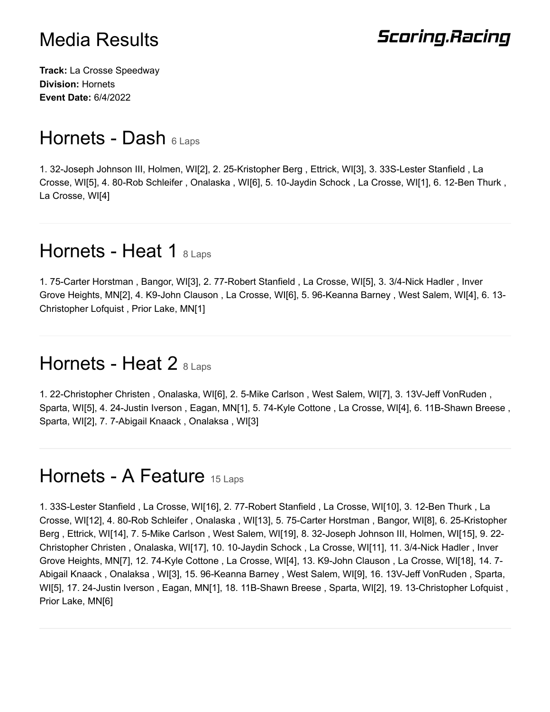# **Scoring.Racing**

**Track:** La Crosse Speedway **Division:** Hornets **Event Date:** 6/4/2022

## Hornets - Dash 6 Laps

1. 32-Joseph Johnson III, Holmen, WI[2], 2. 25-Kristopher Berg , Ettrick, WI[3], 3. 33S-Lester Stanfield , La Crosse, WI[5], 4. 80-Rob Schleifer , Onalaska , WI[6], 5. 10-Jaydin Schock , La Crosse, WI[1], 6. 12-Ben Thurk , La Crosse, WI[4]

### Hornets - Heat 1  $8$  Laps

1. 75-Carter Horstman , Bangor, WI[3], 2. 77-Robert Stanfield , La Crosse, WI[5], 3. 3/4-Nick Hadler , Inver Grove Heights, MN[2], 4. K9-John Clauson , La Crosse, WI[6], 5. 96-Keanna Barney , West Salem, WI[4], 6. 13- Christopher Lofquist , Prior Lake, MN[1]

### Hornets - Heat 2 8 Laps

1. 22-Christopher Christen , Onalaska, WI[6], 2. 5-Mike Carlson , West Salem, WI[7], 3. 13V-Jeff VonRuden , Sparta, WI[5], 4. 24-Justin Iverson , Eagan, MN[1], 5. 74-Kyle Cottone , La Crosse, WI[4], 6. 11B-Shawn Breese , Sparta, WI[2], 7. 7-Abigail Knaack , Onalaksa , WI[3]

### Hornets - A Feature 15 Laps

1. 33S-Lester Stanfield , La Crosse, WI[16], 2. 77-Robert Stanfield , La Crosse, WI[10], 3. 12-Ben Thurk , La Crosse, WI[12], 4. 80-Rob Schleifer , Onalaska , WI[13], 5. 75-Carter Horstman , Bangor, WI[8], 6. 25-Kristopher Berg , Ettrick, WI[14], 7. 5-Mike Carlson , West Salem, WI[19], 8. 32-Joseph Johnson III, Holmen, WI[15], 9. 22- Christopher Christen , Onalaska, WI[17], 10. 10-Jaydin Schock , La Crosse, WI[11], 11. 3/4-Nick Hadler , Inver Grove Heights, MN[7], 12. 74-Kyle Cottone , La Crosse, WI[4], 13. K9-John Clauson , La Crosse, WI[18], 14. 7- Abigail Knaack , Onalaksa , WI[3], 15. 96-Keanna Barney , West Salem, WI[9], 16. 13V-Jeff VonRuden , Sparta, WI[5], 17. 24-Justin Iverson , Eagan, MN[1], 18. 11B-Shawn Breese , Sparta, WI[2], 19. 13-Christopher Lofquist , Prior Lake, MN[6]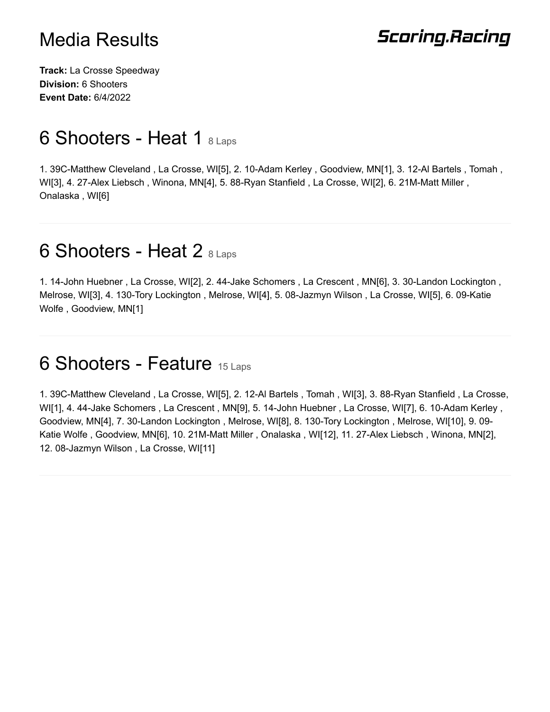# **Scoring.Racing**

**Track:** La Crosse Speedway **Division:** 6 Shooters **Event Date:** 6/4/2022

### 6 Shooters - Heat 1 8 Laps

1. 39C-Matthew Cleveland , La Crosse, WI[5], 2. 10-Adam Kerley , Goodview, MN[1], 3. 12-Al Bartels , Tomah , WI[3], 4. 27-Alex Liebsch , Winona, MN[4], 5. 88-Ryan Stanfield , La Crosse, WI[2], 6. 21M-Matt Miller , Onalaska , WI[6]

### 6 Shooters - Heat 2 8 Laps

1. 14-John Huebner , La Crosse, WI[2], 2. 44-Jake Schomers , La Crescent , MN[6], 3. 30-Landon Lockington , Melrose, WI[3], 4. 130-Tory Lockington , Melrose, WI[4], 5. 08-Jazmyn Wilson , La Crosse, WI[5], 6. 09-Katie Wolfe , Goodview, MN[1]

#### 6 Shooters - Feature 15 Laps

1. 39C-Matthew Cleveland , La Crosse, WI[5], 2. 12-Al Bartels , Tomah , WI[3], 3. 88-Ryan Stanfield , La Crosse, WI[1], 4. 44-Jake Schomers , La Crescent , MN[9], 5. 14-John Huebner , La Crosse, WI[7], 6. 10-Adam Kerley , Goodview, MN[4], 7. 30-Landon Lockington , Melrose, WI[8], 8. 130-Tory Lockington , Melrose, WI[10], 9. 09- Katie Wolfe , Goodview, MN[6], 10. 21M-Matt Miller , Onalaska , WI[12], 11. 27-Alex Liebsch , Winona, MN[2], 12. 08-Jazmyn Wilson , La Crosse, WI[11]